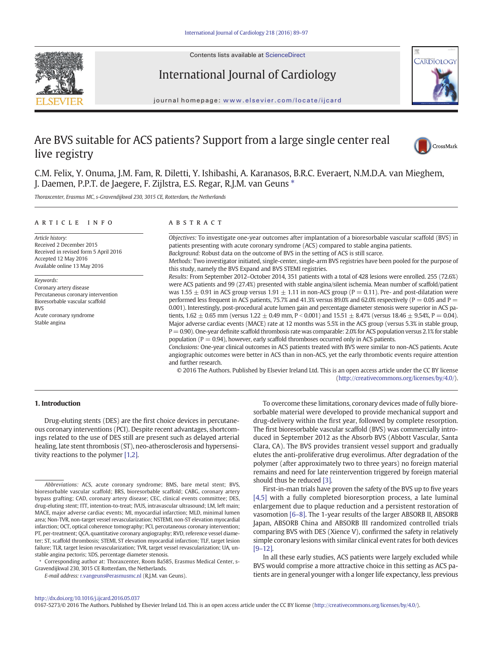

Contents lists available at [ScienceDirect](http://www.sciencedirect.com/science/journal/01675273)

# International Journal of Cardiology



journal homepage: <www.elsevier.com/locate/ijcard>

# Are BVS suitable for ACS patients? Support from a large single center real live registry



C.M. Felix, Y. Onuma, J.M. Fam, R. Diletti, Y. Ishibashi, A. Karanasos, B.R.C. Everaert, N.M.D.A. van Mieghem, J. Daemen, P.P.T. de Jaegere, F. Zijlstra, E.S. Regar, R.J.M. van Geuns ⁎

Thoraxcenter, Erasmus MC, s-Gravendijkwal 230, 3015 CE, Rotterdam, the Netherlands

#### article info abstract

Article history: Received 2 December 2015 Received in revised form 5 April 2016 Accepted 12 May 2016 Available online 13 May 2016

Keywords: Coronary artery disease Percutaneous coronary intervention Bioresorbable vascular scaffold BVS Acute coronary syndrome Stable angina

Objectives: To investigate one-year outcomes after implantation of a bioresorbable vascular scaffold (BVS) in patients presenting with acute coronary syndrome (ACS) compared to stable angina patients.

Background: Robust data on the outcome of BVS in the setting of ACS is still scarce.

Methods: Two investigator initiated, single-center, single-arm BVS registries have been pooled for the purpose of this study, namely the BVS Expand and BVS STEMI registries.

Results: From September 2012–October 2014, 351 patients with a total of 428 lesions were enrolled. 255 (72.6%) were ACS patients and 99 (27.4%) presented with stable angina/silent ischemia. Mean number of scaffold/patient was 1.55  $\pm$  0.91 in ACS group versus 1.91  $\pm$  1.11 in non-ACS group (P = 0.11). Pre- and post-dilatation were performed less frequent in ACS patients, 75.7% and 41.3% versus 89.0% and 62.0% respectively ( $P = 0.05$  and  $P =$ 0.001). Interestingly, post-procedural acute lumen gain and percentage diameter stenosis were superior in ACS patients,  $1.62 \pm 0.65$  mm (versus  $1.22 \pm 0.49$  mm, P < 0.001) and  $15.51 \pm 8.47$ % (versus  $18.46 \pm 9.54$ %, P = 0.04). Major adverse cardiac events (MACE) rate at 12 months was 5.5% in the ACS group (versus 5.3% in stable group, P = 0.90). One-year definite scaffold thrombosis rate was comparable: 2.0% for ACS population versus 2.1% for stable population ( $P = 0.94$ ), however, early scaffold thromboses occurred only in ACS patients.

Conclusions: One-year clinical outcomes in ACS patients treated with BVS were similar to non-ACS patients. Acute angiographic outcomes were better in ACS than in non-ACS, yet the early thrombotic events require attention and further research.

© 2016 The Authors. Published by Elsevier Ireland Ltd. This is an open access article under the CC BY license [\(http://creativecommons.org/licenses/by/4.0/\)](http://creativecommons.org/licenses/by/4.0/).

# 1. Introduction

Drug-eluting stents (DES) are the first choice devices in percutaneous coronary interventions (PCI). Despite recent advantages, shortcomings related to the use of DES still are present such as delayed arterial healing, late stent thrombosis (ST), neo-atherosclerosis and hypersensitivity reactions to the polymer [\[1,2\]](#page-7-0).

⁎ Corresponding author at: Thoraxcenter, Room Ba585, Erasmus Medical Center, s-Gravendijkwal 230, 3015 CE Rotterdam, the Netherlands.

E-mail address: [r.vangeuns@erasmusmc.nl](mailto:r.vangeuns@erasmusmc.nl) (R.J.M. van Geuns).

To overcome these limitations, coronary devices made of fully bioresorbable material were developed to provide mechanical support and drug-delivery within the first year, followed by complete resorption. The first bioresorbable vascular scaffold (BVS) was commercially introduced in September 2012 as the Absorb BVS (Abbott Vascular, Santa Clara, CA). The BVS provides transient vessel support and gradually elutes the anti-proliferative drug everolimus. After degradation of the polymer (after approximately two to three years) no foreign material remains and need for late reintervention triggered by foreign material should thus be reduced [\[3\].](#page-7-0)

First-in-man trials have proven the safety of the BVS up to five years [\[4,5\]](#page-7-0) with a fully completed bioresorption process, a late luminal enlargement due to plaque reduction and a persistent restoration of vasomotion [\[6](#page-7-0)–8]. The 1-year results of the larger ABSORB II, ABSORB Japan, ABSORB China and ABSORB III randomized controlled trials comparing BVS with DES (Xience V), confirmed the safety in relatively simple coronary lesions with similar clinical event rates for both devices [9–[12\].](#page-7-0)

In all these early studies, ACS patients were largely excluded while BVS would comprise a more attractive choice in this setting as ACS patients are in general younger with a longer life expectancy, less previous

0167-5273/© 2016 The Authors. Published by Elsevier Ireland Ltd. This is an open access article under the CC BY license [\(http://creativecommons.org/licenses/by/4.0/\)](http://creativecommons.org/licenses/by/4.0/).

Abbreviations: ACS, acute coronary syndrome; BMS, bare metal stent; BVS, bioresorbable vascular scaffold; BRS, bioresorbable scaffold; CABG, coronary artery bypass grafting; CAD, coronary artery disease; CEC, clinical events committee; DES, drug-eluting stent; ITT, intention-to-treat; IVUS, intravascular ultrasound; LM, left main; MACE, major adverse cardiac events; MI, myocardial infarction; MLD, minimal lumen area; Non-TVR, non-target vessel revascularization; NSTEMI, non-ST elevation myocardial infarction; OCT, optical coherence tomography; PCI, percutaneous coronary intervention; PT, per-treatment; QCA, quantitative coronary angiography; RVD, reference vessel diameter; ST, scaffold thrombosis; STEMI, ST elevation myocardial infarction; TLF, target lesion failure; TLR, target lesion revascularization; TVR, target vessel revascularization; UA, unstable angina pectoris; %DS, percentage diameter stenosis.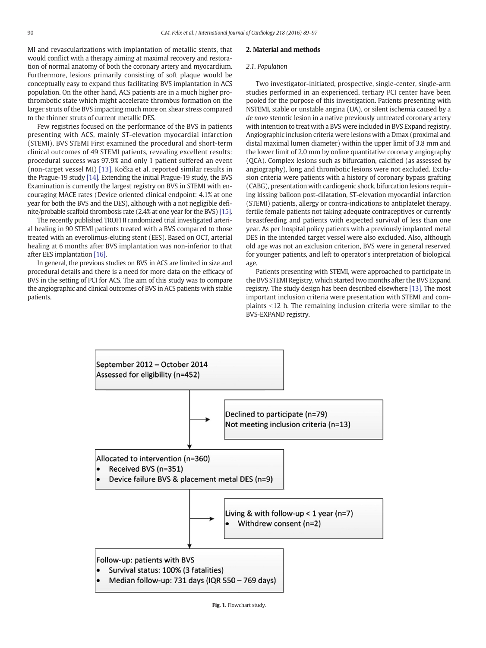<span id="page-1-0"></span>MI and revascularizations with implantation of metallic stents, that would conflict with a therapy aiming at maximal recovery and restoration of normal anatomy of both the coronary artery and myocardium. Furthermore, lesions primarily consisting of soft plaque would be conceptually easy to expand thus facilitating BVS implantation in ACS population. On the other hand, ACS patients are in a much higher prothrombotic state which might accelerate thrombus formation on the larger struts of the BVS impacting much more on shear stress compared to the thinner struts of current metallic DES.

Few registries focused on the performance of the BVS in patients presenting with ACS, mainly ST-elevation myocardial infarction (STEMI). BVS STEMI First examined the procedural and short-term clinical outcomes of 49 STEMI patients, revealing excellent results: procedural success was 97.9% and only 1 patient suffered an event (non-target vessel MI) [\[13\]](#page-7-0). Kočka et al. reported similar results in the Prague-19 study [\[14\]](#page-7-0). Extending the initial Prague-19 study, the BVS Examination is currently the largest registry on BVS in STEMI with encouraging MACE rates (Device oriented clinical endpoint: 4.1% at one year for both the BVS and the DES), although with a not negligible definite/probable scaffold thrombosis rate (2.4% at one year for the BVS) [\[15\].](#page-7-0)

The recently published TROFI II randomized trial investigated arterial healing in 90 STEMI patients treated with a BVS compared to those treated with an everolimus-eluting stent (EES). Based on OCT, arterial healing at 6 months after BVS implantation was non-inferior to that after EES implantation [\[16\]](#page-7-0).

In general, the previous studies on BVS in ACS are limited in size and procedural details and there is a need for more data on the efficacy of BVS in the setting of PCI for ACS. The aim of this study was to compare the angiographic and clinical outcomes of BVS in ACS patients with stable patients.

# 2. Material and methods

#### 2.1. Population

Two investigator-initiated, prospective, single-center, single-arm studies performed in an experienced, tertiary PCI center have been pooled for the purpose of this investigation. Patients presenting with NSTEMI, stable or unstable angina (UA), or silent ischemia caused by a de novo stenotic lesion in a native previously untreated coronary artery with intention to treat with a BVS were included in BVS Expand registry. Angiographic inclusion criteria were lesions with a Dmax (proximal and distal maximal lumen diameter) within the upper limit of 3.8 mm and the lower limit of 2.0 mm by online quantitative coronary angiography (QCA). Complex lesions such as bifurcation, calcified (as assessed by angiography), long and thrombotic lesions were not excluded. Exclusion criteria were patients with a history of coronary bypass grafting (CABG), presentation with cardiogenic shock, bifurcation lesions requiring kissing balloon post-dilatation, ST-elevation myocardial infarction (STEMI) patients, allergy or contra-indications to antiplatelet therapy, fertile female patients not taking adequate contraceptives or currently breastfeeding and patients with expected survival of less than one year. As per hospital policy patients with a previously implanted metal DES in the intended target vessel were also excluded. Also, although old age was not an exclusion criterion, BVS were in general reserved for younger patients, and left to operator's interpretation of biological age.

Patients presenting with STEMI, were approached to participate in the BVS STEMI Registry, which started two months after the BVS Expand registry. The study design has been described elsewhere [\[13\]](#page-7-0). The most important inclusion criteria were presentation with STEMI and complaints  $<$  12 h. The remaining inclusion criteria were similar to the BVS-EXPAND registry.

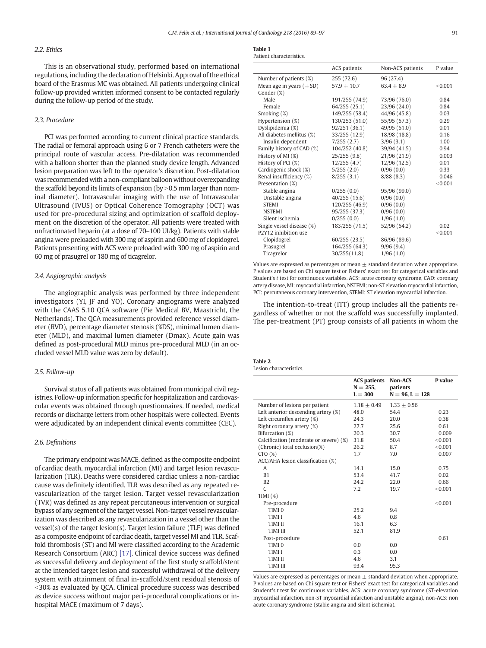# <span id="page-2-0"></span>2.2. Ethics

This is an observational study, performed based on international regulations, including the declaration of Helsinki. Approval of the ethical board of the Erasmus MC was obtained. All patients undergoing clinical follow-up provided written informed consent to be contacted regularly during the follow-up period of the study.

# 2.3. Procedure

PCI was performed according to current clinical practice standards. The radial or femoral approach using 6 or 7 French catheters were the principal route of vascular access. Pre-dilatation was recommended with a balloon shorter than the planned study device length. Advanced lesion preparation was left to the operator's discretion. Post-dilatation was recommended with a non-compliant balloon without overexpanding the scaffold beyond its limits of expansion (by  $>$  0.5 mm larger than nominal diameter). Intravascular imaging with the use of Intravascular Ultrasound (IVUS) or Optical Coherence Tomography (OCT) was used for pre-procedural sizing and optimization of scaffold deployment on the discretion of the operator. All patients were treated with unfractionated heparin (at a dose of 70–100 UI/kg). Patients with stable angina were preloaded with 300 mg of aspirin and 600 mg of clopidogrel. Patients presenting with ACS were preloaded with 300 mg of aspirin and 60 mg of prasugrel or 180 mg of ticagrelor.

### 2.4. Angiographic analysis

The angiographic analysis was performed by three independent investigators (YI, JF and YO). Coronary angiograms were analyzed with the CAAS 5.10 QCA software (Pie Medical BV, Maastricht, the Netherlands). The QCA measurements provided reference vessel diameter (RVD), percentage diameter stenosis (%DS), minimal lumen diameter (MLD), and maximal lumen diameter (Dmax). Acute gain was defined as post-procedural MLD minus pre-procedural MLD (in an occluded vessel MLD value was zero by default).

# 2.5. Follow-up

Survival status of all patients was obtained from municipal civil registries. Follow-up information specific for hospitalization and cardiovascular events was obtained through questionnaires. If needed, medical records or discharge letters from other hospitals were collected. Events were adjudicated by an independent clinical events committee (CEC).

# 2.6. Definitions

The primary endpoint was MACE, defined as the composite endpoint of cardiac death, myocardial infarction (MI) and target lesion revascularization (TLR). Deaths were considered cardiac unless a non-cardiac cause was definitely identified. TLR was described as any repeated revascularization of the target lesion. Target vessel revascularization (TVR) was defined as any repeat percutaneous intervention or surgical bypass of any segment of the target vessel. Non-target vessel revascularization was described as any revascularization in a vessel other than the vessel(s) of the target lesion(s). Target lesion failure (TLF) was defined as a composite endpoint of cardiac death, target vessel MI and TLR. Scaffold thrombosis (ST) and MI were classified according to the Academic Research Consortium (ARC) [\[17\]](#page-7-0). Clinical device success was defined as successful delivery and deployment of the first study scaffold/stent at the intended target lesion and successful withdrawal of the delivery system with attainment of final in-scaffold/stent residual stenosis of  $\le$ 30% as evaluated by QCA. Clinical procedure success was described as device success without major peri-procedural complications or inhospital MACE (maximum of 7 days).

| <b>Table 1</b>          |
|-------------------------|
| Patient characteristics |

|                              | ACS patients   | Non-ACS patients | P value |
|------------------------------|----------------|------------------|---------|
| Number of patients (%)       | 255(72.6)      | 96 (27.4)        |         |
| Mean age in years $(\pm SD)$ | $57.9 + 10.7$  | $63.4 + 8.9$     | < 0.001 |
| Gender (%)                   |                |                  |         |
| Male                         | 191/255 (74.9) | 73/96 (76.0)     | 0.84    |
| Female                       | 64/255(25.1)   | 23/96 (24.0)     | 0.84    |
| Smoking (%)                  | 149/255 (58.4) | 44/96 (45.8)     | 0.03    |
| Hypertension (%)             | 130/253 (51.0) | 55/95 (57.3)     | 0.29    |
| Dyslipidemia (%)             | 92/251 (36.1)  | 49/95 (51.0)     | 0.01    |
| All diabetes mellitus (%)    | 33/255 (12.9)  | 18/98 (18.8)     | 0.16    |
| Insulin dependent            | 7/255(2.7)     | 3/96(3.1)        | 1.00    |
| Family history of CAD (%)    | 104/252 (40.8) | 39/94 (41.5)     | 0.94    |
| History of MI (%)            | 25/255(9.8)    | 21/96(21.9)      | 0.003   |
| History of PCI (%)           | 12/255(4.7)    | 12/96(12.5)      | 0.01    |
| Cardiogenic shock (%)        | 5/255(2.0)     | 0/96(0.0)        | 0.33    |
| Renal insufficiency (%)      | 8/255(3.1)     | 8/88(8.3)        | 0.046   |
| Presentation (%)             |                |                  | < 0.001 |
| Stable angina                | 0/255(0.0)     | 95/96 (99.0)     |         |
| Unstable angina              | 40/255(15.6)   | 0/96(0.0)        |         |
| <b>STEMI</b>                 | 120/255 (46.9) | 0/96(0.0)        |         |
| <b>NSTEMI</b>                | 95/255 (37.3)  | 0/96(0.0)        |         |
| Silent ischemia              | 0/255(0.0)     | 1/96(1.0)        |         |
| Single vessel disease (%)    | 183/255 (71.5) | 52/96 (54.2)     | 0.02    |
| P2Y12 inhibition use         |                |                  | < 0.001 |
| Clopidogrel                  | 60/255(23.5)   | 86/96 (89.6)     |         |
| Prasugrel                    | 164/255 (64.3) | 9/96(9.4)        |         |
| Ticagrelor                   | 30/255(11.8)   | 1/96(1.0)        |         |

Values are expressed as percentages or mean  $\pm$  standard deviation when appropriate. P values are based on Chi square test or Fishers' exact test for categorical variables and Student's t test for continuous variables. ACS: acute coronary syndrome, CAD: coronary artery disease, MI: myocardial infarction, NSTEMI: non-ST elevation myocardial infarction, PCI: percutaneous coronary intervention, STEMI: ST elevation myocardial infarction.

The intention-to-treat (ITT) group includes all the patients regardless of whether or not the scaffold was successfully implanted. The per-treatment (PT) group consists of all patients in whom the

#### Table 2 Lesion characteristics.

|                                        | <b>ACS patients</b><br>$N = 255$ ,<br>$L = 300$ | <b>Non-ACS</b><br>patients<br>$N = 96, L = 128$ | P value |
|----------------------------------------|-------------------------------------------------|-------------------------------------------------|---------|
| Number of lesions per patient          | $1.18 + 0.49$                                   | $1.33 + 0.56$                                   |         |
| Left anterior descending artery (%)    | 48.0                                            | 54.4                                            | 0.23    |
| Left circumflex artery $(\%)$          | 24.3                                            | 20.0                                            | 0.38    |
| Right coronary artery (%)              | 27.7                                            | 25.6                                            | 0.61    |
| Bifurcation (%)                        | 20.3                                            | 30.7                                            | 0.009   |
| Calcification (moderate or severe) (%) | 31.8                                            | 50.4                                            | < 0.001 |
| (Chronic) total occlusion(%)           | 26.2                                            | 8.7                                             | < 0.001 |
| CTO(%)                                 | 1.7                                             | 7.0                                             | 0.007   |
| ACC/AHA lesion classification (%)      |                                                 |                                                 |         |
| A                                      | 14.1                                            | 15.0                                            | 0.75    |
| B1                                     | 53.4                                            | 41.7                                            | 0.02    |
| B2                                     | 24.2                                            | 22.0                                            | 0.66    |
| C                                      | 7.2                                             | 19.7                                            | < 0.001 |
| TIMI $(%)$                             |                                                 |                                                 |         |
| Pre-procedure                          |                                                 |                                                 | < 0.001 |
| TIMI <sub>0</sub>                      | 25.2                                            | 9.4                                             |         |
| <b>TIMI I</b>                          | 4.6                                             | 0.8                                             |         |
| <b>TIMI II</b>                         | 16.1                                            | 6.3                                             |         |
| <b>TIMI III</b>                        | 52.1                                            | 81.9                                            |         |
| Post-procedure                         |                                                 |                                                 | 0.61    |
| TIMI <sub>0</sub>                      | $0.0^{\circ}$                                   | 0.0                                             |         |
| <b>TIMI I</b>                          | 0.3                                             | 0.0                                             |         |
| <b>TIMI II</b>                         | 4.6                                             | 3.1                                             |         |
| <b>TIMI III</b>                        | 93.4                                            | 95.3                                            |         |

Values are expressed as percentages or mean  $\pm$  standard deviation when appropriate. P values are based on Chi square test or Fishers' exact test for categorical variables and Student's t test for continuous variables. ACS: acute coronary syndrome (ST-elevation myocardial infarction, non-ST myocardial infarction and unstable angina), non-ACS: non acute coronary syndrome (stable angina and silent ischemia).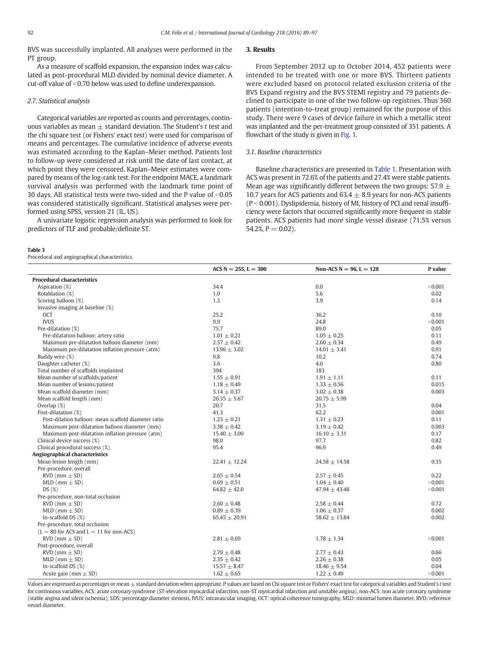<span id="page-3-0"></span>BVS was successfully implanted. All analyses were performed in the PT group.

As a measure of scaffold expansion, the expansion index was calculated as post-procedural MLD divided by nominal device diameter. A cut-off value of  $<$  0.70 below was used to define underexpansion.

### 2.7. Statistical analysis

Categorical variables are reported as counts and percentages, continuous variables as mean  $\pm$  standard deviation. The Student's t test and the chi square test (or Fishers' exact test) were used for comparison of means and percentages. The cumulative incidence of adverse events was estimated according to the Kaplan–Meier method. Patients lost to follow-up were considered at risk until the date of last contact, at which point they were censored. Kaplan–Meier estimates were compared by means of the log-rank test. For the endpoint MACE, a landmark survival analysis was performed with the landmark time point of 30 days. All statistical tests were two-sided and the P value of  $< 0.05$ was considered statistically significant. Statistical analyses were performed using SPSS, version 21 (IL, US).

A univariate logistic regression analysis was performed to look for predictors of TLF and probable/definite ST.

#### Table 3

Procedural and angiographical characteristics.

# 3. Results

From September 2012 up to October 2014, 452 patients were intended to be treated with one or more BVS. Thirteen patients were excluded based on protocol related exclusion criteria of the BVS Expand registry and the BVS STEMI registry and 79 patients declined to participate in one of the two follow-up registries. Thus 360 patients (intention-to-treat group) remained for the purpose of this study. There were 9 cases of device failure in which a metallic stent was implanted and the per-treatment group consisted of 351 patients. A flowchart of the study is given in [Fig. 1](#page-1-0).

# 3.1. Baseline characteristics

Baseline characteristics are presented in [Table 1](#page-2-0). Presentation with ACS was present in 72.6% of the patients and 27.4% were stable patients. Mean age was significantly different between the two groups: 57.9  $\pm$ 10.7 years for ACS patients and  $63.4 + 8.9$  years for non-ACS patients  $(P < 0.001)$ . Dyslipidemia, history of MI, history of PCI and renal insufficiency were factors that occurred significantly more frequent in stable patients. ACS patients had more single vessel disease (71.5% versus  $54.2\%$ ,  $P = 0.02$ ).

|                                                     | $ACS N = 255, L = 300$ | Non-ACS $N = 96$ , $L = 128$ | P value |
|-----------------------------------------------------|------------------------|------------------------------|---------|
| <b>Procedural characteristics</b>                   |                        |                              |         |
| Aspiration (%)                                      | 34.4                   | 0.0                          | < 0.001 |
| Rotablation (%)                                     | 1.0                    | 5.6                          | 0.02    |
| Scoring balloon (%)                                 | 1.3                    | 3.9                          | 0.14    |
| Invasive imaging at baseline (%)                    |                        |                              |         |
| <b>OCT</b>                                          | 25.2                   | 36.2                         | 0.10    |
| <b>IVUS</b>                                         | 9.9                    | 24.8                         | < 0.001 |
| Pre-dilatation (%)                                  | 75.7                   | 89.0                         | 0.05    |
| Pre-dilatation balloon: artery ratio                | $1.01 \pm 0.21$        | $1.05 \pm 0.25$              | 0.11    |
| Maximum pre-dilatation balloon diameter (mm)        | $2.57 \pm 0.42$        | $2.60 \pm 0.34$              | 0.49    |
| Maximum pre-dilatation inflation pressure (atm)     | $13.96 \pm 3.02$       | $14.01 \pm 3.41$             | 0.91    |
| Buddy wire (%)                                      | 9.8                    | 10.2                         | 0.74    |
| Daughter catheter (%)                               | 3.6                    | 4.0                          | 0.80    |
| Total number of scaffolds implanted                 | 394                    | 183                          |         |
| Mean number of scaffolds/patient                    | $1.55 \pm 0.91$        | $1.91 \pm 1.11$              | 0.11    |
| Mean number of lesions/patient                      | $1.18 \pm 0.49$        | $1.33 \pm 0.56$              | 0.015   |
| Mean scaffold diameter (mm)                         | $3.14 \pm 0.37$        | $3.02 \pm 0.38$              | 0.003   |
| Mean scaffold length (mm)                           | $20.35 \pm 5.67$       | $20.75 \pm 5.99$             |         |
| Overlap $(\%)$                                      | 20.7                   | 31.5                         | 0.04    |
| Post-dilatation (%)                                 | 41.3                   | 62.2                         | 0.001   |
| Post-dilation balloon: mean scaffold diameter ratio | $1.23 \pm 0.21$        | $1.31 \pm 0.23$              | 0.11    |
| Maximum post-dilatation balloon diameter (mm)       | $3.38 \pm 0.42$        | $3.19 \pm 0.42$              | 0.003   |
| Maximum post-dilatation inflation pressure (atm)    | $15.40 \pm 3.00$       | $16.10 \pm 3.31$             | 0.17    |
| Clinical device success (%)                         | 98.0                   | 97.7                         | 0.82    |
| Clinical procedural success (%)                     | 95.4                   | 96.9                         | 0.49    |
| Angiographical characteristics                      |                        |                              |         |
| Mean lesion length (mm)                             | $22.41 \pm 12.24$      | 24.58 $\pm$ 14.58            | 0.35    |
| Pre-procedure, overall                              |                        |                              |         |
| $RVD$ (mm $\pm$ SD)                                 | $2.65 \pm 0.54$        | $2.57 \pm 0.45$              | 0.22    |
| $MLD$ (mm $\pm$ SD)                                 | $0.69 \pm 0.51$        | $1.04 \pm 0.40$              | < 0.001 |
| DS(%)                                               | $64.82 \pm 42.0$       | $47.94 \pm 43.48$            | < 0.001 |
| Pre-procedure, non-total occlusion                  |                        |                              |         |
| $RVD$ (mm $\pm$ SD)                                 | $2.60 \pm 0.48$        | $2.58 \pm 0.44$              | 0.72    |
| $MLD$ (mm $\pm$ SD)                                 | $0.89 \pm 0.39$        | $1.06 \pm 0.37$              | 0.002   |
| In-scaffold DS $(\%)$                               | $65.45 \pm 20.91$      | $58.62 \pm 13.84$            | 0.002   |
| Pre-procedure, total occlusion                      |                        |                              |         |
| $(L = 80$ for ACS and $L = 11$ for non-ACS)         |                        |                              |         |
| $RVD$ (mm $\pm$ SD)                                 | $2.81 \pm 0.69$        | $1.78 \pm 1.34$              | < 0.001 |
| Post-procedure, overall                             |                        |                              |         |
| $RVD$ (mm $\pm$ SD)                                 | $2.79 \pm 0.48$        | $2.77 \pm 0.43$              | 0.66    |
| $MLD$ (mm $\pm$ SD)                                 | $2.35 \pm 0.42$        | $2.26 \pm 0.38$              | 0.05    |
| In-scaffold DS $(\%)$                               | $15.57 \pm 8.47$       | $18.46 \pm 9.54$             | 0.04    |
| Acute gain (mm $\pm$ SD)                            | $1.62 \pm 0.65$        | $1.22 \pm 0.49$              | < 0.001 |

Values are expressed as percentages or mean ± standard deviation when appropriate. P values are based on Chi square test or Fishers' exact test for categorical variables and Student's t test for continuous variables. ACS: acute coronary syndrome (ST-elevation myocardial infarction, non-ST myocardial infarction and unstable angina), non-ACS: non acute coronary syndrome (stable angina and silent ischemia), %DS: percentage diameter stenosis, IVUS: intravascular imaging, OCT: optical coherence tomography, MLD: minimal lumen diameter, RVD: reference vessel diameter.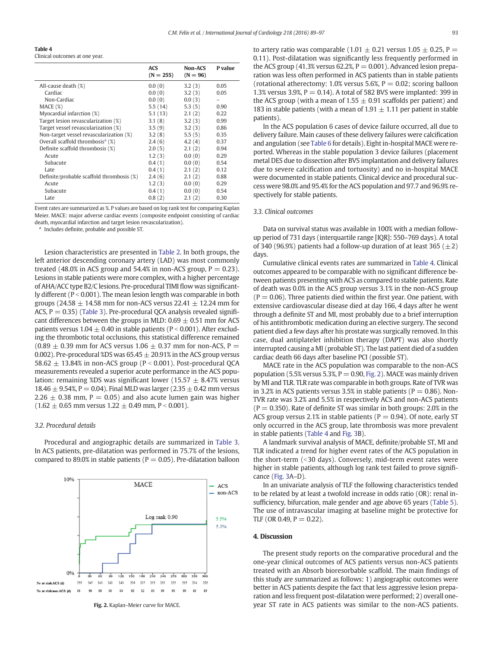#### Table 4

Clinical outcomes at one year.

|                                                 | <b>ACS</b><br>$(N = 255)$ | <b>Non-ACS</b><br>$(N = 96)$ | P value |
|-------------------------------------------------|---------------------------|------------------------------|---------|
| All-cause death (%)                             | 0.0(0)                    | 3.2(3)                       | 0.05    |
| Cardiac                                         | 0.0(0)                    | 3.2(3)                       | 0.05    |
| Non-Cardiac                                     | 0.0(0)                    | 0.0(3)                       |         |
| MACE (%)                                        | 5.5(14)                   | 5.3(5)                       | 0.90    |
| Myocardial infarction (%)                       | 5.1(13)                   | 2.1(2)                       | 0.22    |
| Target lesion revascularization (%)             | 3.1(8)                    | 3.2(3)                       | 0.99    |
| Target vessel revascularization (%)             | 3.5(9)                    | 3.2(3)                       | 0.86    |
| Non-target vessel revascularization (%)         | 3.2(8)                    | 5.5(5)                       | 0.35    |
| Overall scaffold thrombosis <sup>a</sup> $(\%)$ | 2.4(6)                    | 4.2(4)                       | 0.37    |
| Definite scaffold thrombosis (%)                | 2.0(5)                    | 2.1(2)                       | 0.94    |
| Acute                                           | 1.2(3)                    | 0.0(0)                       | 0.29    |
| Subacute                                        | 0.4(1)                    | 0.0(0)                       | 0.54    |
| Late                                            | 0.4(1)                    | 2.1(2)                       | 0.12    |
| Definite/probable scaffold thrombosis (%)       | 2.4(6)                    | 2.1(2)                       | 0.88    |
| Acute                                           | 1.2(3)                    | 0.0(0)                       | 0.29    |
| Subacute                                        | 0.4(1)                    | 0.0(0)                       | 0.54    |
| Late                                            | 0.8(2)                    | 2.1(2)                       | 0.30    |

Event rates are summarized as %. P values are based on log rank test for comparing Kaplan Meier. MACE: major adverse cardiac events (composite endpoint consisting of cardiac death, myocardial infarction and target lesion revascularization).

<sup>a</sup> Includes definite, probable and possible ST.

Lesion characteristics are presented in [Table 2.](#page-2-0) In both groups, the left anterior descending coronary artery (LAD) was most commonly treated (48.0% in ACS group and 54.4% in non-ACS group,  $P = 0.23$ ). Lesions in stable patients were more complex, with a higher percentage of AHA/ACC type B2/C lesions. Pre-procedural TIMI flow was significantly different ( $P < 0.001$ ). The mean lesion length was comparable in both groups (24.58  $\pm$  14.58 mm for non-ACS versus 22.41  $\pm$  12.24 mm for ACS,  $P = 0.35$ ) ([Table 3](#page-3-0)). Pre-procedural QCA analysis revealed significant differences between the groups in MLD:  $0.69 \pm 0.51$  mm for ACS patients versus  $1.04 \pm 0.40$  in stable patients (P < 0.001). After excluding the thrombotic total occlusions, this statistical difference remained  $(0.89 \pm 0.39$  mm for ACS versus 1.06  $\pm$  0.37 mm for non-ACS, P = 0.002). Pre-procedural %DS was  $65.45 \pm 20.91$ % in the ACS group versus 58.62  $\pm$  13.84% in non-ACS group (P < 0.001). Post-procedural QCA measurements revealed a superior acute performance in the ACS population: remaining %DS was significant lower (15.57  $\pm$  8.47% versus  $18.46 \pm 9.54$ %, P = 0.04). Final MLD was larger (2.35  $\pm$  0.42 mm versus  $2.26 \pm 0.38$  mm, P = 0.05) and also acute lumen gain was higher  $(1.62 \pm 0.65 \text{ mm}$  versus  $1.22 \pm 0.49 \text{ mm}$ , P < 0.001).

#### 3.2. Procedural details

Procedural and angiographic details are summarized in [Table 3.](#page-3-0) In ACS patients, pre-dilatation was performed in 75.7% of the lesions, compared to 89.0% in stable patients ( $P = 0.05$ ). Pre-dilatation balloon



Fig. 2. Kaplan–Meier curve for MACE.

to artery ratio was comparable (1.01  $\pm$  0.21 versus 1.05  $\pm$  0.25, P = 0.11). Post-dilatation was significantly less frequently performed in the ACS group (41.3% versus 62.2%,  $P = 0.001$ ). Advanced lesion preparation was less often performed in ACS patients than in stable patients (rotational atherectomy: 1.0% versus 5.6%,  $P = 0.02$ ; scoring balloon 1.3% versus 3.9%,  $P = 0.14$ ). A total of 582 BVS were implanted: 399 in the ACS group (with a mean of  $1.55 \pm 0.91$  scaffolds per patient) and 183 in stable patients (with a mean of 1.91  $\pm$  1.11 per patient in stable patients).

In the ACS population 6 cases of device failure occurred, all due to delivery failure. Main causes of these delivery failures were calcification and angulation (see [Table 6](#page-6-0) for details). Eight in-hospital MACE were reported. Whereas in the stable population 3 device failures (placement metal DES due to dissection after BVS implantation and delivery failures due to severe calcification and tortuosity) and no in-hospital MACE were documented in stable patients. Clinical device and procedural success were 98.0% and 95.4% for the ACS population and 97.7 and 96.9% respectively for stable patients.

#### 3.3. Clinical outcomes

Data on survival status was available in 100% with a median followup period of 731 days (interquartile range [IQR]: 550–769 days). A total of 340 (96.9%) patients had a follow-up duration of at least 365 ( $\pm$ 2) days.

Cumulative clinical events rates are summarized in Table 4. Clinical outcomes appeared to be comparable with no significant difference between patients presenting with ACS as compared to stable patients. Rate of death was 0.0% in the ACS group versus 3.1% in the non-ACS group  $(P = 0.06)$ . Three patients died within the first year. One patient, with extensive cardiovascular disease died at day 166, 4 days after he went through a definite ST and MI, most probably due to a brief interruption of his antithrombotic medication during an elective surgery. The second patient died a few days after his prostate was surgically removed. In this case, dual antiplatelet inhibition therapy (DAPT) was also shortly interrupted causing a MI (probable ST). The last patient died of a sudden cardiac death 66 days after baseline PCI (possible ST).

MACE rate in the ACS population was comparable to the non-ACS population (5.5% versus 5.3%,  $P = 0.90$ , Fig. 2). MACE was mainly driven by MI and TLR. TLR rate was comparable in both groups. Rate of TVR was in 3.2% in ACS patients versus 3.5% in stable patients ( $P = 0.86$ ). Non-TVR rate was 3.2% and 5.5% in respectively ACS and non-ACS patients  $(P = 0.350)$ . Rate of definite ST was similar in both groups: 2.0% in the ACS group versus 2.1% in stable patients ( $P = 0.94$ ). Of note, early ST only occurred in the ACS group, late thrombosis was more prevalent in stable patients (Table 4 and [Fig. 3](#page-5-0)B).

A landmark survival analysis of MACE, definite/probable ST, MI and TLR indicated a trend for higher event rates of the ACS population in the short-term (<30 days). Conversely, mid-term event rates were higher in stable patients, although log rank test failed to prove significance [\(Fig. 3A](#page-5-0)–D).

In an univariate analysis of TLF the following characteristics tended to be related by at least a twofold increase in odds ratio (OR): renal insufficiency, bifurcation, male gender and age above 65 years ([Table 5](#page-5-0)). The use of intravascular imaging at baseline might be protective for TLF (OR 0.49,  $P = 0.22$ ).

#### 4. Discussion

The present study reports on the comparative procedural and the one-year clinical outcomes of ACS patients versus non-ACS patients treated with an Absorb bioresorbable scaffold. The main findings of this study are summarized as follows: 1) angiographic outcomes were better in ACS patients despite the fact that less aggressive lesion preparation and less frequent post-dilatation were performed; 2) overall oneyear ST rate in ACS patients was similar to the non-ACS patients.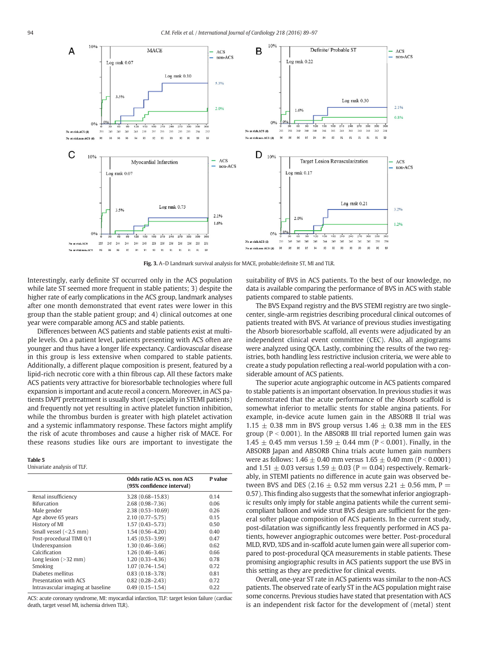<span id="page-5-0"></span>

Fig. 3. A–D Landmark survival analysis for MACE, probable/definite ST, MI and TLR.

Interestingly, early definite ST occurred only in the ACS population while late ST seemed more frequent in stable patients; 3) despite the higher rate of early complications in the ACS group, landmark analyses after one month demonstrated that event rates were lower in this group than the stable patient group; and 4) clinical outcomes at one year were comparable among ACS and stable patients.

Differences between ACS patients and stable patients exist at multiple levels. On a patient level, patients presenting with ACS often are younger and thus have a longer life expectancy. Cardiovascular disease in this group is less extensive when compared to stable patients. Additionally, a different plaque composition is present, featured by a lipid-rich necrotic core with a thin fibrous cap. All these factors make ACS patients very attractive for bioresorbable technologies where full expansion is important and acute recoil a concern. Moreover, in ACS patients DAPT pretreatment is usually short (especially in STEMI patients) and frequently not yet resulting in active platelet function inhibition, while the thrombus burden is greater with high platelet activation and a systemic inflammatory response. These factors might amplify the risk of acute thromboses and cause a higher risk of MACE. For these reasons studies like ours are important to investigate the

#### Table 5

Univariate analysis of TLF.

|                                   | <b>Odds ratio ACS vs. non ACS</b><br>(95% confidence interval) | P value |
|-----------------------------------|----------------------------------------------------------------|---------|
| Renal insufficiency               | $3.28(0.68 - 15.83)$                                           | 0.14    |
| Bifurcation                       | $2.68(0.98 - 7.36)$                                            | 0.06    |
| Male gender                       | $2.38(0.53 - 10.69)$                                           | 0.26    |
| Age above 65 years                | $2.10(0.77 - 5.75)$                                            | 0.15    |
| History of MI                     | $1.57(0.43 - 5.73)$                                            | 0.50    |
| Small vessel $(2.5 \text{ mm})$   | $1.54(0.56 - 4.20)$                                            | 0.40    |
| Post-procedural TIMI 0/1          | $1.45(0.53 - 3.99)$                                            | 0.47    |
| Underexpansion                    | $1.30(0.46 - 3.66)$                                            | 0.62    |
| Calcification                     | $1.26(0.46-3.46)$                                              | 0.66    |
| Long lesion $(>32$ mm)            | $1.20(0.33 - 4.36)$                                            | 0.78    |
| Smoking                           | $1.07(0.74 - 1.54)$                                            | 0.72    |
| Diabetes mellitus                 | $0.83(0.18 - 3.78)$                                            | 0.81    |
| Presentation with ACS             | $0.82(0.28 - 2.43)$                                            | 0.72    |
| Intravascular imaging at baseline | $0.49(0.15 - 1.54)$                                            | 0.22    |

ACS: acute coronary syndrome, MI: myocardial infarction, TLF: target lesion failure (cardiac death, target vessel MI, ischemia driven TLR).

suitability of BVS in ACS patients. To the best of our knowledge, no data is available comparing the performance of BVS in ACS with stable patients compared to stable patients.

The BVS Expand registry and the BVS STEMI registry are two singlecenter, single-arm registries describing procedural clinical outcomes of patients treated with BVS. At variance of previous studies investigating the Absorb bioresorbable scaffold, all events were adjudicated by an independent clinical event committee (CEC). Also, all angiograms were analyzed using QCA. Lastly, combining the results of the two registries, both handling less restrictive inclusion criteria, we were able to create a study population reflecting a real-world population with a considerable amount of ACS patients.

The superior acute angiographic outcome in ACS patients compared to stable patients is an important observation. In previous studies it was demonstrated that the acute performance of the Absorb scaffold is somewhat inferior to metallic stents for stable angina patients. For example, in-device acute lumen gain in the ABSORB II trial was  $1.15 \pm 0.38$  mm in BVS group versus  $1.46 \pm 0.38$  mm in the EES group ( $P < 0.001$ ). In the ABSORB III trial reported lumen gain was 1.45  $\pm$  0.45 mm versus 1.59  $\pm$  0.44 mm (P < 0.001). Finally, in the ABSORB Japan and ABSORB China trials acute lumen gain numbers were as follows:  $1.46 \pm 0.40$  mm versus  $1.65 \pm 0.40$  mm (P < 0.0001) and 1.51  $\pm$  0.03 versus 1.59  $\pm$  0.03 (P = 0.04) respectively. Remarkably, in STEMI patients no difference in acute gain was observed between BVS and DES (2.16  $\pm$  0.52 mm versus 2.21  $\pm$  0.56 mm, P = 0.57). This finding also suggests that the somewhat inferior angiographic results only imply for stable angina patients while the current semicompliant balloon and wide strut BVS design are sufficient for the general softer plaque composition of ACS patients. In the current study, post-dilatation was significantly less frequently performed in ACS patients, however angiographic outcomes were better. Post-procedural MLD, RVD, %DS and in-scaffold acute lumen gain were all superior compared to post-procedural QCA measurements in stable patients. These promising angiographic results in ACS patients support the use BVS in this setting as they are predictive for clinical events.

Overall, one-year ST rate in ACS patients was similar to the non-ACS patients. The observed rate of early ST in the ACS population might raise some concerns. Previous studies have stated that presentation with ACS is an independent risk factor for the development of (metal) stent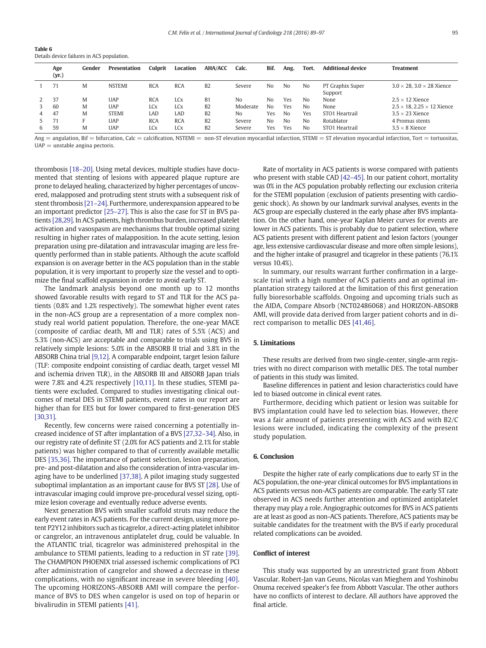<span id="page-6-0"></span>

| Table 6                                    |  |
|--------------------------------------------|--|
| Details device failures in ACS population. |  |

|    | Age<br>(yr.) | Gender | Presentation  | Culprit               | Location   | <b>AHA/ACC</b> | Calc.    | Bif.           | Ang.           | Tort. | <b>Additional device</b>    | <b>Treatment</b>                          |
|----|--------------|--------|---------------|-----------------------|------------|----------------|----------|----------------|----------------|-------|-----------------------------|-------------------------------------------|
|    | 71           | M      | <b>NSTEMI</b> | <b>RCA</b>            | <b>RCA</b> | B <sub>2</sub> | Severe   | No             | N <sub>0</sub> | No    | PT Graphix Super<br>Support | $3.0 \times 28$ , $3.0 \times 28$ Xience  |
|    | 37           | M      | UAP           | <b>RCA</b>            | LCx        | B1             | No       | No             | Yes            | No.   | None                        | $2.5 \times 12$ Xience                    |
|    | 60           | M      | UAP           | <b>LC<sub>X</sub></b> | LCx        | B <sub>2</sub> | Moderate | N <sub>0</sub> | Yes            | No    | None                        | $2.5 \times 18$ , 2.25 $\times$ 12 Xience |
| 4  | 47           | M      | <b>STEMI</b>  | LAD                   | LAD        | <b>B2</b>      | No       | Yes            | N <sub>0</sub> | Yes   | STO <sub>1</sub> Heartrail  | $3.5 \times 23$ Xience                    |
|    | 71           | н.     | UAP           | <b>RCA</b>            | <b>RCA</b> | <b>B2</b>      | Severe   | No             | N <sub>0</sub> | No    | Rotablator                  | 4 Promus stents                           |
| 6. | 59           | M      | UAP           | LCx                   | LCx        | B <sub>2</sub> | Severe   | Yes            | Yes            | No    | STO <sub>1</sub> Heartrail  | $3.5 \times 8$ Xience                     |

 $Ang =$  angulation, Bif = bifurcation, Calc = calcification, NSTEMI = non-ST elevation myocardial infarction, STEMI = ST elevation myocardial infarction, Tort = tortuositas,  $UAP =$  unstable angina pectoris.

thrombosis [\[18](#page-7-0)–20]. Using metal devices, multiple studies have documented that stenting of lesions with appeared plaque rupture are prone to delayed healing, characterized by higher percentages of uncovered, malapposed and protruding stent struts with a subsequent risk of stent thrombosis [\[21](#page-7-0)–24]. Furthermore, underexpansion appeared to be an important predictor [25–[27\].](#page-7-0) This is also the case for ST in BVS patients [\[28,29\]](#page-7-0). In ACS patients, high thrombus burden, increased platelet activation and vasospasm are mechanisms that trouble optimal sizing resulting in higher rates of malapposition. In the acute setting, lesion preparation using pre-dilatation and intravascular imaging are less frequently performed than in stable patients. Although the acute scaffold expansion is on average better in the ACS population than in the stable population, it is very important to properly size the vessel and to optimize the final scaffold expansion in order to avoid early ST.

The landmark analysis beyond one month up to 12 months showed favorable results with regard to ST and TLR for the ACS patients (0.8% and 1.2% respectively). The somewhat higher event rates in the non-ACS group are a representation of a more complex nonstudy real world patient population. Therefore, the one-year MACE (composite of cardiac death, MI and TLR) rates of 5.5% (ACS) and 5.3% (non-ACS) are acceptable and comparable to trials using BVS in relatively simple lesions: 5.0% in the ABSORB II trial and 3.8% in the ABSORB China trial [\[9,12\]](#page-7-0). A comparable endpoint, target lesion failure (TLF: composite endpoint consisting of cardiac death, target vessel MI and ischemia driven TLR), in the ABSORB III and ABSORB Japan trials were 7.8% and 4.2% respectively [\[10,11\].](#page-7-0) In these studies, STEMI patients were excluded. Compared to studies investigating clinical outcomes of metal DES in STEMI patients, event rates in our report are higher than for EES but for lower compared to first-generation DES [\[30,31\]](#page-7-0).

Recently, few concerns were raised concerning a potentially increased incidence of ST after implantation of a BVS [\[27,32](#page-7-0)–34]. Also, in our registry rate of definite ST (2.0% for ACS patients and 2.1% for stable patients) was higher compared to that of currently available metallic DES [\[35,36\]](#page-7-0). The importance of patient selection, lesion preparation, pre- and post-dilatation and also the consideration of intra-vascular imaging have to be underlined [\[37,38\].](#page-7-0) A pilot imaging study suggested suboptimal implantation as an important cause for BVS ST [\[28\]](#page-7-0). Use of intravascular imaging could improve pre-procedural vessel sizing, optimize lesion coverage and eventually reduce adverse events.

Next generation BVS with smaller scaffold struts may reduce the early event rates in ACS patients. For the current design, using more potent P2Y12 inhibitors such as ticagrelor, a direct-acting platelet inhibitor or cangrelor, an intravenous antiplatelet drug, could be valuable. In the ATLANTIC trial, ticagrelor was administered prehospital in the ambulance to STEMI patients, leading to a reduction in ST rate [\[39\].](#page-7-0) The CHAMPION PHOENIX trial assessed ischemic complications of PCI after administration of cangrelor and showed a decrease in these complications, with no significant increase in severe bleeding [\[40\].](#page-7-0) The upcoming HORIZONS-ABSORB AMI will compare the performance of BVS to DES when cangelor is used on top of heparin or bivalirudin in STEMI patients [\[41\]](#page-7-0).

Rate of mortality in ACS patients is worse compared with patients who present with stable CAD [42–[45\].](#page-7-0) In our patient cohort, mortality was 0% in the ACS population probably reflecting our exclusion criteria for the STEMI population (exclusion of patients presenting with cardiogenic shock). As shown by our landmark survival analyses, events in the ACS group are especially clustered in the early phase after BVS implantation. On the other hand, one-year Kaplan Meier curves for events are lower in ACS patients. This is probably due to patient selection, where ACS patients present with different patient and lesion factors (younger age, less extensive cardiovascular disease and more often simple lesions), and the higher intake of prasugrel and ticagrelor in these patients (76.1% versus 10.4%).

In summary, our results warrant further confirmation in a largescale trial with a high number of ACS patients and an optimal implantation strategy tailored at the limitation of this first generation fully bioresorbable scaffolds. Ongoing and upcoming trials such as the AIDA, Compare Absorb (NCT02486068) and HORIZON-ABSORB AMI, will provide data derived from larger patient cohorts and in direct comparison to metallic DES [\[41,46\]](#page-7-0).

# 5. Limitations

These results are derived from two single-center, single-arm registries with no direct comparison with metallic DES. The total number of patients in this study was limited.

Baseline differences in patient and lesion characteristics could have led to biased outcome in clinical event rates.

Furthermore, deciding which patient or lesion was suitable for BVS implantation could have led to selection bias. However, there was a fair amount of patients presenting with ACS and with B2/C lesions were included, indicating the complexity of the present study population.

### 6. Conclusion

Despite the higher rate of early complications due to early ST in the ACS population, the one-year clinical outcomes for BVS implantations in ACS patients versus non-ACS patients are comparable. The early ST rate observed in ACS needs further attention and optimized antiplatelet therapy may play a role. Angiographic outcomes for BVS in ACS patients are at least as good as non-ACS patients. Therefore, ACS patients may be suitable candidates for the treatment with the BVS if early procedural related complications can be avoided.

#### Conflict of interest

This study was supported by an unrestricted grant from Abbott Vascular. Robert-Jan van Geuns, Nicolas van Mieghem and Yoshinobu Onuma received speaker's fee from Abbott Vascular. The other authors have no conflicts of interest to declare. All authors have approved the final article.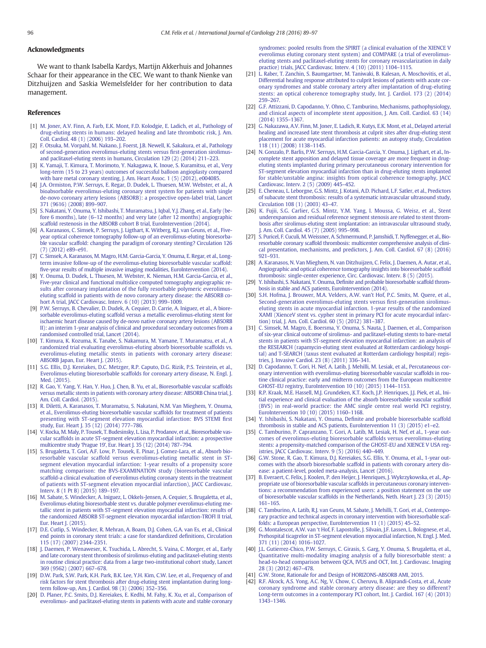# <span id="page-7-0"></span>Acknowledgments

We want to thank Isabella Kardys, Martijn Akkerhuis and Johannes Schaar for their appearance in the CEC. We want to thank Nienke van Ditzhuijzen and Saskia Wemelsfelder for her contribution to data management.

#### References

- [1] [M. Joner, A.V. Finn, A. Farb, E.K. Mont, F.D. Kolodgie, E. Ladich, et al., Pathology of](http://refhub.elsevier.com/S0167-5273(16)30941-X/rf0005) [drug-eluting stents in humans: delayed healing and late thrombotic risk, J. Am.](http://refhub.elsevier.com/S0167-5273(16)30941-X/rf0005) [Coll. Cardiol. 48 \(1\) \(2006\) 193](http://refhub.elsevier.com/S0167-5273(16)30941-X/rf0005)–202.
- [2] [F. Otsuka, M. Vorpahl, M. Nakano, J. Foerst, J.B. Newell, K. Sakakura, et al., Pathology](http://refhub.elsevier.com/S0167-5273(16)30941-X/rf0010) [of second-generation everolimus-eluting stents versus](http://refhub.elsevier.com/S0167-5273(16)30941-X/rf0010) first-generation sirolimus[and paclitaxel-eluting stents in humans, Circulation 129 \(2\) \(2014\) 211](http://refhub.elsevier.com/S0167-5273(16)30941-X/rf0010)–223.
- [3] [K. Yamaji, T. Kimura, T. Morimoto, Y. Nakagawa, K. Inoue, S. Kuramitsu, et al., Very](http://refhub.elsevier.com/S0167-5273(16)30941-X/rf0015) [long-term \(15 to 23 years\) outcomes of successful balloon angioplasty compared](http://refhub.elsevier.com/S0167-5273(16)30941-X/rf0015) [with bare metal coronary stenting, J. Am. Heart Assoc. 1 \(5\) \(2012\), e004085.](http://refhub.elsevier.com/S0167-5273(16)30941-X/rf0015)
- [J.A. Ormiston, P.W. Serruys, E. Regar, D. Dudek, L. Thuesen, M.W. Webster, et al., A](http://refhub.elsevier.com/S0167-5273(16)30941-X/rf0020) [bioabsorbable everolimus-eluting coronary stent system for patients with single](http://refhub.elsevier.com/S0167-5273(16)30941-X/rf0020) [de-novo coronary artery lesions \(ABSORB\): a prospective open-label trial, Lancet](http://refhub.elsevier.com/S0167-5273(16)30941-X/rf0020) [371 \(9616\) \(2008\) 899](http://refhub.elsevier.com/S0167-5273(16)30941-X/rf0020)–907.
- [5] [S. Nakatani, Y. Onuma, Y. Ishibashi, T. Muramatsu, J. Iqbal, Y.J. Zhang, et al., Early \(be](http://refhub.elsevier.com/S0167-5273(16)30941-X/rf0025)fore 6 months), late (6–[12 months\) and very late \(after 12 months\) angiographic](http://refhub.elsevier.com/S0167-5273(16)30941-X/rf0025) [scaffold restenosis in the ABSORB cohort B trial, EuroIntervention \(2014\).](http://refhub.elsevier.com/S0167-5273(16)30941-X/rf0025)
- [6] [A. Karanasos, C. Simsek, P. Serruys, J. Ligthart, K. Witberg, R.J. van Geuns, et al., Five](http://refhub.elsevier.com/S0167-5273(16)30941-X/rf0030)[year optical coherence tomography follow-up of an everolimus-eluting bioresorba](http://refhub.elsevier.com/S0167-5273(16)30941-X/rf0030)[ble vascular scaffold: changing the paradigm of coronary stenting? Circulation 126](http://refhub.elsevier.com/S0167-5273(16)30941-X/rf0030) [\(7\) \(2012\) e89](http://refhub.elsevier.com/S0167-5273(16)30941-X/rf0030)–e91.
- [7] [C. Simsek, A. Karanasos, M. Magro, H.M. Garcia-Garcia, Y. Onuma, E. Regar, et al., Long](http://refhub.elsevier.com/S0167-5273(16)30941-X/rf0035)[term invasive follow-up of the everolimus-eluting bioresorbable vascular scaffold:](http://refhub.elsevier.com/S0167-5273(16)30941-X/rf0035) fi[ve-year results of multiple invasive imaging modalities, EuroIntervention \(2014\)](http://refhub.elsevier.com/S0167-5273(16)30941-X/rf0035).
- [8] [Y. Onuma, D. Dudek, L. Thuesen, M. Webster, K. Nieman, H.M. Garcia-Garcia, et al.,](http://refhub.elsevier.com/S0167-5273(16)30941-X/rf0040) [Five-year clinical and functional multislice computed tomography angiographic re](http://refhub.elsevier.com/S0167-5273(16)30941-X/rf0040)[sults after coronary implantation of the fully resorbable polymeric everolimus](http://refhub.elsevier.com/S0167-5273(16)30941-X/rf0040)[eluting scaffold in patients with de novo coronary artery disease: the ABSORB co](http://refhub.elsevier.com/S0167-5273(16)30941-X/rf0040)[hort A trial, JACC Cardiovasc. Interv. 6 \(10\) \(2013\) 999](http://refhub.elsevier.com/S0167-5273(16)30941-X/rf0040)–1009.
- [9] [P.W. Serruys, B. Chevalier, D. Dudek, A. Cequier, D. Carrie, A. Iniguez, et al., A biore](http://refhub.elsevier.com/S0167-5273(16)30941-X/rf0045)[sorbable everolimus-eluting scaffold versus a metallic everolimus-eluting stent for](http://refhub.elsevier.com/S0167-5273(16)30941-X/rf0045) [ischaemic heart disease caused by de-novo native coronary artery lesions \(ABSORB](http://refhub.elsevier.com/S0167-5273(16)30941-X/rf0045) [II\): an interim 1-year analysis of clinical and procedural secondary outcomes from a](http://refhub.elsevier.com/S0167-5273(16)30941-X/rf0045) [randomised controlled trial, Lancet \(2014\).](http://refhub.elsevier.com/S0167-5273(16)30941-X/rf0045)
- [10] [T. Kimura, K. Kozuma, K. Tanabe, S. Nakamura, M. Yamane, T. Muramatsu, et al., A](http://refhub.elsevier.com/S0167-5273(16)30941-X/rf0050) [randomized trial evaluating everolimus-eluting absorb bioresorbable scaffolds vs.](http://refhub.elsevier.com/S0167-5273(16)30941-X/rf0050) [everolimus-eluting metallic stents in patients with coronary artery disease:](http://refhub.elsevier.com/S0167-5273(16)30941-X/rf0050) [ABSORB Japan, Eur. Heart J. \(2015\)](http://refhub.elsevier.com/S0167-5273(16)30941-X/rf0050).
- [11] [S.G. Ellis, D.J. Kereiakes, D.C. Metzger, R.P. Caputo, D.G. Rizik, P.S. Teirstein, et al.,](http://refhub.elsevier.com/S0167-5273(16)30941-X/rf0055) [Everolimus-eluting bioresorbable scaffolds for coronary artery disease, N. Engl. J.](http://refhub.elsevier.com/S0167-5273(16)30941-X/rf0055) [Med. \(2015\)](http://refhub.elsevier.com/S0167-5273(16)30941-X/rf0055).
- [12] [R. Gao, Y. Yang, Y. Han, Y. Huo, J. Chen, B. Yu, et al., Bioresorbable vascular scaffolds](http://refhub.elsevier.com/S0167-5273(16)30941-X/rf0060) [versus metallic stents in patients with coronary artery disease: ABSORB China trial, J.](http://refhub.elsevier.com/S0167-5273(16)30941-X/rf0060) [Am. Coll. Cardiol. \(2015\)](http://refhub.elsevier.com/S0167-5273(16)30941-X/rf0060).
- [13] [R. Diletti, A. Karanasos, T. Muramatsu, S. Nakatani, N.M. Van Mieghem, Y. Onuma,](http://refhub.elsevier.com/S0167-5273(16)30941-X/rf0065) [et al., Everolimus-eluting bioresorbable vascular scaffolds for treatment of patients](http://refhub.elsevier.com/S0167-5273(16)30941-X/rf0065) [presenting with ST-segment elevation myocardial infarction: BVS STEMI](http://refhub.elsevier.com/S0167-5273(16)30941-X/rf0065) first [study, Eur. Heart J. 35 \(12\) \(2014\) 777](http://refhub.elsevier.com/S0167-5273(16)30941-X/rf0065)–786.
- [14] [V. Kocka, M. Maly, P. Tousek, T. Budesinsky, L. Lisa, P. Prodanov, et al., Bioresorbable vas](http://refhub.elsevier.com/S0167-5273(16)30941-X/rf0070)[cular scaffolds in acute ST-segment elevation myocardial infarction: a prospective](http://refhub.elsevier.com/S0167-5273(16)30941-X/rf0070) multicentre study 'Prague 19'[, Eur. Heart J. 35 \(12\) \(2014\) 787](http://refhub.elsevier.com/S0167-5273(16)30941-X/rf0070)–794.
- [15] [S. Brugaletta, T. Gori, A.F. Low, P. Tousek, E. Pinar, J. Gomez-Lara, et al., Absorb bio](http://refhub.elsevier.com/S0167-5273(16)30941-X/rf0075)[resorbable vascular scaffold versus everolimus-eluting metallic stent in ST](http://refhub.elsevier.com/S0167-5273(16)30941-X/rf0075)[segment elevation myocardial infarction: 1-year results of a propensity score](http://refhub.elsevier.com/S0167-5273(16)30941-X/rf0075) [matching comparison: the BVS-EXAMINATION study \(bioresorbable vascular](http://refhub.elsevier.com/S0167-5273(16)30941-X/rf0075) [scaffold-a clinical evaluation of everolimus eluting coronary stents in the treatment](http://refhub.elsevier.com/S0167-5273(16)30941-X/rf0075) [of patients with ST-segment elevation myocardial infarction\), JACC Cardiovasc.](http://refhub.elsevier.com/S0167-5273(16)30941-X/rf0075) [Interv. 8 \(1 Pt B\) \(2015\) 189](http://refhub.elsevier.com/S0167-5273(16)30941-X/rf0075)–197.
- [16] [M. Sabate, S. Windecker, A. Iniguez, L. Okkels-Jensen, A. Cequier, S. Brugaletta, et al.,](http://refhub.elsevier.com/S0167-5273(16)30941-X/rf0080) [Everolimus-eluting bioresorbable stent vs. durable polymer everolimus-eluting me](http://refhub.elsevier.com/S0167-5273(16)30941-X/rf0080)[tallic stent in patients with ST-segment elevation myocardial infarction: results of](http://refhub.elsevier.com/S0167-5273(16)30941-X/rf0080) [the randomized ABSORB ST-segment elevation myocardial infarction-TROFI II trial,](http://refhub.elsevier.com/S0167-5273(16)30941-X/rf0080) [Eur. Heart J. \(2015\)](http://refhub.elsevier.com/S0167-5273(16)30941-X/rf0080).
- [17] [D.E. Cutlip, S. Windecker, R. Mehran, A. Boam, D.J. Cohen, G.A. van Es, et al., Clinical](http://refhub.elsevier.com/S0167-5273(16)30941-X/rf0085) [end points in coronary stent trials: a case for standardized de](http://refhub.elsevier.com/S0167-5273(16)30941-X/rf0085)finitions, Circulation [115 \(17\) \(2007\) 2344](http://refhub.elsevier.com/S0167-5273(16)30941-X/rf0085)–2351.
- [18] [J. Daemen, P. Wenaweser, K. Tsuchida, L. Abrecht, S. Vaina, C. Morger, et al., Early](http://refhub.elsevier.com/S0167-5273(16)30941-X/rf0090) [and late coronary stent thrombosis of sirolimus-eluting and paclitaxel-eluting stents](http://refhub.elsevier.com/S0167-5273(16)30941-X/rf0090) [in routine clinical practice: data from a large two-institutional cohort study, Lancet](http://refhub.elsevier.com/S0167-5273(16)30941-X/rf0090) [369 \(9562\) \(2007\) 667](http://refhub.elsevier.com/S0167-5273(16)30941-X/rf0090)–678.
- [19] [D.W. Park, S.W. Park, K.H. Park, B.K. Lee, Y.H. Kim, C.W. Lee, et al., Frequency of and](http://refhub.elsevier.com/S0167-5273(16)30941-X/rf0095) [risk factors for stent thrombosis after drug-eluting stent implantation during long](http://refhub.elsevier.com/S0167-5273(16)30941-X/rf0095)[term follow-up, Am. J. Cardiol. 98 \(3\) \(2006\) 352](http://refhub.elsevier.com/S0167-5273(16)30941-X/rf0095)–356.
- [20] [D. Planer, P.C. Smits, D.J. Kereiakes, E. Kedhi, M. Fahy, K. Xu, et al., Comparison of](http://refhub.elsevier.com/S0167-5273(16)30941-X/rf0100) [everolimus- and paclitaxel-eluting stents in patients with acute and stable coronary](http://refhub.elsevier.com/S0167-5273(16)30941-X/rf0100)

[syndromes: pooled results from the SPIRIT \(a clinical evaluation of the XIENCE V](http://refhub.elsevier.com/S0167-5273(16)30941-X/rf0100) [everolimus eluting coronary stent system\) and COMPARE \(a trial of everolimus](http://refhub.elsevier.com/S0167-5273(16)30941-X/rf0100)[eluting stents and paclitaxel-eluting stents for coronary revascularization in daily](http://refhub.elsevier.com/S0167-5273(16)30941-X/rf0100) [practice\) trials, JACC Cardiovasc. Interv. 4 \(10\) \(2011\) 1104](http://refhub.elsevier.com/S0167-5273(16)30941-X/rf0100)–1115.

- [21] [L. Raber, T. Zanchin, S. Baumgartner, M. Taniwaki, B. Kalesan, A. Moschovitis, et al.,](http://refhub.elsevier.com/S0167-5273(16)30941-X/rf0105) [Differential healing response attributed to culprit lesions of patients with acute cor](http://refhub.elsevier.com/S0167-5273(16)30941-X/rf0105)[onary syndromes and stable coronary artery after implantation of drug-eluting](http://refhub.elsevier.com/S0167-5273(16)30941-X/rf0105) [stents: an optical coherence tomography study, Int. J. Cardiol. 173 \(2\) \(2014\)](http://refhub.elsevier.com/S0167-5273(16)30941-X/rf0105) [259](http://refhub.elsevier.com/S0167-5273(16)30941-X/rf0105)–267.
- [22] [G.F. Attizzani, D. Capodanno, Y. Ohno, C. Tamburino, Mechanisms, pathophysiology,](http://refhub.elsevier.com/S0167-5273(16)30941-X/rf0110) [and clinical aspects of incomplete stent apposition, J. Am. Coll. Cardiol. 63 \(14\)](http://refhub.elsevier.com/S0167-5273(16)30941-X/rf0110) [\(2014\) 1355](http://refhub.elsevier.com/S0167-5273(16)30941-X/rf0110)–1367.
- [23] [G. Nakazawa, A.V. Finn, M. Joner, E. Ladich, R. Kutys, E.K. Mont, et al., Delayed arterial](http://refhub.elsevier.com/S0167-5273(16)30941-X/rf0115) [healing and increased late stent thrombosis at culprit sites after drug-eluting stent](http://refhub.elsevier.com/S0167-5273(16)30941-X/rf0115) [placement for acute myocardial infarction patients: an autopsy study, Circulation](http://refhub.elsevier.com/S0167-5273(16)30941-X/rf0115) [118 \(11\) \(2008\) 1138](http://refhub.elsevier.com/S0167-5273(16)30941-X/rf0115)–1145.
- [24] [N. Gonzalo, P. Barlis, P.W. Serruys, H.M. Garcia-Garcia, Y. Onuma, J. Ligthart, et al., In](http://refhub.elsevier.com/S0167-5273(16)30941-X/rf0120)[complete stent apposition and delayed tissue coverage are more frequent in drug](http://refhub.elsevier.com/S0167-5273(16)30941-X/rf0120)[eluting stents implanted during primary percutaneous coronary intervention for](http://refhub.elsevier.com/S0167-5273(16)30941-X/rf0120) [ST-segment elevation myocardial infarction than in drug-eluting stents implanted](http://refhub.elsevier.com/S0167-5273(16)30941-X/rf0120) [for stable/unstable angina: insights from optical coherence tomography, JACC](http://refhub.elsevier.com/S0167-5273(16)30941-X/rf0120) [Cardiovasc. Interv. 2 \(5\) \(2009\) 445](http://refhub.elsevier.com/S0167-5273(16)30941-X/rf0120)–452.
- [25] [E. Cheneau, L. Leborgne, G.S. Mintz, J. Kotani, A.D. Pichard, L.F. Satler, et al., Predictors](http://refhub.elsevier.com/S0167-5273(16)30941-X/rf0125) [of subacute stent thrombosis: results of a systematic intravascular ultrasound study,](http://refhub.elsevier.com/S0167-5273(16)30941-X/rf0125) [Circulation 108 \(1\) \(2003\) 43](http://refhub.elsevier.com/S0167-5273(16)30941-X/rf0125)–47.
- [26] [K. Fujii, S.G. Carlier, G.S. Mintz, Y.M. Yang, I. Moussa, G. Weisz, et al., Stent](http://refhub.elsevier.com/S0167-5273(16)30941-X/rf0130) [underexpansion and residual reference segment stenosis are related to stent throm](http://refhub.elsevier.com/S0167-5273(16)30941-X/rf0130)[bosis after sirolimus-eluting stent implantation: an intravascular ultrasound study,](http://refhub.elsevier.com/S0167-5273(16)30941-X/rf0130) [J. Am. Coll. Cardiol. 45 \(7\) \(2005\) 995](http://refhub.elsevier.com/S0167-5273(16)30941-X/rf0130)–998.
- [27] [S. Puricel, F. Cuculi, M. Weissner, A. Schmermund, P. Jamshidi, T. Nyffenegger, et al., Bio](http://refhub.elsevier.com/S0167-5273(16)30941-X/rf0135)[resorbable coronary scaffold thrombosis: multicenter comprehensive analysis of clini](http://refhub.elsevier.com/S0167-5273(16)30941-X/rf0135)[cal presentation, mechanisms, and predictors, J. Am. Coll. Cardiol. 67 \(8\) \(2016\)](http://refhub.elsevier.com/S0167-5273(16)30941-X/rf0135) [921](http://refhub.elsevier.com/S0167-5273(16)30941-X/rf0135)–931.
- [28] [A. Karanasos, N. Van Mieghem, N. van Ditzhuijzen, C. Felix, J. Daemen, A. Autar, et al.,](http://refhub.elsevier.com/S0167-5273(16)30941-X/rf0140) [Angiographic and optical coherence tomography insights into bioresorbable scaffold](http://refhub.elsevier.com/S0167-5273(16)30941-X/rf0140) thrombosis: single-center experience, Circ. Cardiovasc. Interv. 8 (5) (2015)
- Y. Ishibashi, S. Nakatani, Y. Onuma, Defi[nite and probable bioresorbable scaffold throm](http://refhub.elsevier.com/S0167-5273(16)30941-X/rf0145)[bosis in stable and ACS patients, EuroIntervention \(2014\)](http://refhub.elsevier.com/S0167-5273(16)30941-X/rf0145).
- [30] [S.H. Hofma, J. Brouwer, M.A. Velders, A.W. van't Hof, P.C. Smits, M. Quere, et al.,](http://refhub.elsevier.com/S0167-5273(16)30941-X/rf0150) [Second-generation everolimus-eluting stents versus](http://refhub.elsevier.com/S0167-5273(16)30941-X/rf0150) first-generation sirolimus[eluting stents in acute myocardial infarction. 1-year results of the randomized](http://refhub.elsevier.com/S0167-5273(16)30941-X/rf0150) [XAMI \(XienceV stent vs. cypher stent in primary PCI for acute myocardial infarc](http://refhub.elsevier.com/S0167-5273(16)30941-X/rf0150)[tion\) trial, J. Am. Coll. Cardiol. 60 \(5\) \(2012\) 381](http://refhub.elsevier.com/S0167-5273(16)30941-X/rf0150)–387.
- [31] [C. Simsek, M. Magro, E. Boersma, Y. Onuma, S. Nauta, J. Daemen, et al., Comparison](http://refhub.elsevier.com/S0167-5273(16)30941-X/rf0155) [of six-year clinical outcome of sirolimus- and paclitaxel-eluting stents to bare-metal](http://refhub.elsevier.com/S0167-5273(16)30941-X/rf0155) [stents in patients with ST-segment elevation myocardial infarction: an analysis of](http://refhub.elsevier.com/S0167-5273(16)30941-X/rf0155) [the RESEARCH \(rapamycin-eluting stent evaluated at Rotterdam cardiology hospi](http://refhub.elsevier.com/S0167-5273(16)30941-X/rf0155)[tal\) and T-SEARCH \(taxus stent evaluated at Rotterdam cardiology hospital\) regis](http://refhub.elsevier.com/S0167-5273(16)30941-X/rf0155)[tries, J. Invasive Cardiol. 23 \(8\) \(2011\) 336](http://refhub.elsevier.com/S0167-5273(16)30941-X/rf0155)–341.
- [32] [D. Capodanno, T. Gori, H. Nef, A. Latib, J. Mehilli, M. Lesiak, et al., Percutaneous cor](http://refhub.elsevier.com/S0167-5273(16)30941-X/rf0160)[onary intervention with everolimus-eluting bioresorbable vascular scaffolds in rou](http://refhub.elsevier.com/S0167-5273(16)30941-X/rf0160)[tine clinical practice: early and midterm outcomes from the European multicentre](http://refhub.elsevier.com/S0167-5273(16)30941-X/rf0160) [GHOST-EU registry, EuroIntervention 10 \(10\) \(2015\) 1144](http://refhub.elsevier.com/S0167-5273(16)30941-X/rf0160)–1153.
- [33] [R.P. Kraak, M.E. Hassell, M.J. Grundeken, K.T. Koch, J.P. Henriques, J.J. Piek, et al., Ini](http://refhub.elsevier.com/S0167-5273(16)30941-X/rf0165)[tial experience and clinical evaluation of the absorb bioresorbable vascular scaffold](http://refhub.elsevier.com/S0167-5273(16)30941-X/rf0165) [\(BVS\) in real-world practice: the AMC single centre real world PCI registry,](http://refhub.elsevier.com/S0167-5273(16)30941-X/rf0165) [EuroIntervention 10 \(10\) \(2015\) 1160](http://refhub.elsevier.com/S0167-5273(16)30941-X/rf0165)–1168.
- [34] Y. Ishibashi, S. Nakatani, Y. Onuma, Defi[nite and probable bioresorbable scaffold](http://refhub.elsevier.com/S0167-5273(16)30941-X/rf0170) [thrombosis in stable and ACS patients, EuroIntervention 11 \(3\) \(2015\) e1](http://refhub.elsevier.com/S0167-5273(16)30941-X/rf0170)–e2.
- [35] [C. Tamburino, P. Capranzano, T. Gori, A. Latib, M. Lesiak, H. Nef, et al., 1-year out](http://refhub.elsevier.com/S0167-5273(16)30941-X/rf0175)[comes of everolimus-eluting bioresorbable scaffolds versus everolimus-eluting](http://refhub.elsevier.com/S0167-5273(16)30941-X/rf0175) [stents: a propensity-matched comparison of the GHOST-EU and XIENCE V USA reg](http://refhub.elsevier.com/S0167-5273(16)30941-X/rf0175)[istries, JACC Cardiovasc. Interv. 9 \(5\) \(2016\) 440](http://refhub.elsevier.com/S0167-5273(16)30941-X/rf0175)–449.
- [36] [G.W. Stone, R. Gao, T. Kimura, D.J. Kereiakes, S.G. Ellis, Y. Onuma, et al., 1-year out](http://refhub.elsevier.com/S0167-5273(16)30941-X/rf0180)[comes with the absorb bioresorbable scaffold in patients with coronary artery dis](http://refhub.elsevier.com/S0167-5273(16)30941-X/rf0180)[ease: a patient-level, pooled meta-analysis, Lancet \(2016\)](http://refhub.elsevier.com/S0167-5273(16)30941-X/rf0180).
- [37] [B. Everaert, C. Felix, J. Koolen, P. den Heijer, J. Henriques, J. Wykrzykowska, et al., Ap](http://refhub.elsevier.com/S0167-5273(16)30941-X/rf0185)[propriate use of bioresorbable vascular scaffolds in percutaneous coronary interven](http://refhub.elsevier.com/S0167-5273(16)30941-X/rf0185)[tions: a recommendation from experienced users: a position statement on the use](http://refhub.elsevier.com/S0167-5273(16)30941-X/rf0185) [of bioresorbable vascular scaffolds in the Netherlands, Neth. Heart J. 23 \(3\) \(2015\)](http://refhub.elsevier.com/S0167-5273(16)30941-X/rf0185) [161](http://refhub.elsevier.com/S0167-5273(16)30941-X/rf0185)–165.
- [38] [C. Tamburino, A. Latib, R.J. van Geuns, M. Sabate, J. Mehilli, T. Gori, et al., Contempo](http://refhub.elsevier.com/S0167-5273(16)30941-X/rf0190)[rary practice and technical aspects in coronary intervention with bioresorbable scaf](http://refhub.elsevier.com/S0167-5273(16)30941-X/rf0190)[folds: a European perspective, EuroIntervention 11 \(1\) \(2015\) 45](http://refhub.elsevier.com/S0167-5273(16)30941-X/rf0190)–52.
- [39] G. Montalescot, A.W. van '[t Hof, F. Lapostolle, J. Silvain, J.F. Lassen, L. Bolognese, et al.,](http://refhub.elsevier.com/S0167-5273(16)30941-X/rf0195) [Prehospital ticagrelor in ST-segment elevation myocardial infarction, N. Engl. J. Med.](http://refhub.elsevier.com/S0167-5273(16)30941-X/rf0195) [371 \(11\) \(2014\) 1016](http://refhub.elsevier.com/S0167-5273(16)30941-X/rf0195)–1027.
- [40] [J.L. Gutierrez-Chico, P.W. Serruys, C. Girasis, S. Garg, Y. Onuma, S. Brugaletta, et al.,](http://refhub.elsevier.com/S0167-5273(16)30941-X/rf0200) [Quantitative multi-modality imaging analysis of a fully bioresorbable stent: a](http://refhub.elsevier.com/S0167-5273(16)30941-X/rf0200) [head-to-head comparison between QCA, IVUS and OCT, Int. J. Cardiovasc. Imaging](http://refhub.elsevier.com/S0167-5273(16)30941-X/rf0200) [28 \(3\) \(2012\) 467](http://refhub.elsevier.com/S0167-5273(16)30941-X/rf0200)–478.
- [41] [G.W. Stone, Rationale for and Design of HORIZONS-ABSORB AMI, 2015.](http://refhub.elsevier.com/S0167-5273(16)30941-X/rf0205)
- [42] [R.F. Alcock, A.S. Yong, A.C. Ng, V. Chow, C. Cheruvu, B. Aliprandi-Costa, et al., Acute](http://refhub.elsevier.com/S0167-5273(16)30941-X/rf0210) [coronary syndrome and stable coronary artery disease: are they so different?](http://refhub.elsevier.com/S0167-5273(16)30941-X/rf0210) [Long-term outcomes in a contemporary PCI cohort, Int. J. Cardiol. 167 \(4\) \(2013\)](http://refhub.elsevier.com/S0167-5273(16)30941-X/rf0210) [1343](http://refhub.elsevier.com/S0167-5273(16)30941-X/rf0210)–1346.